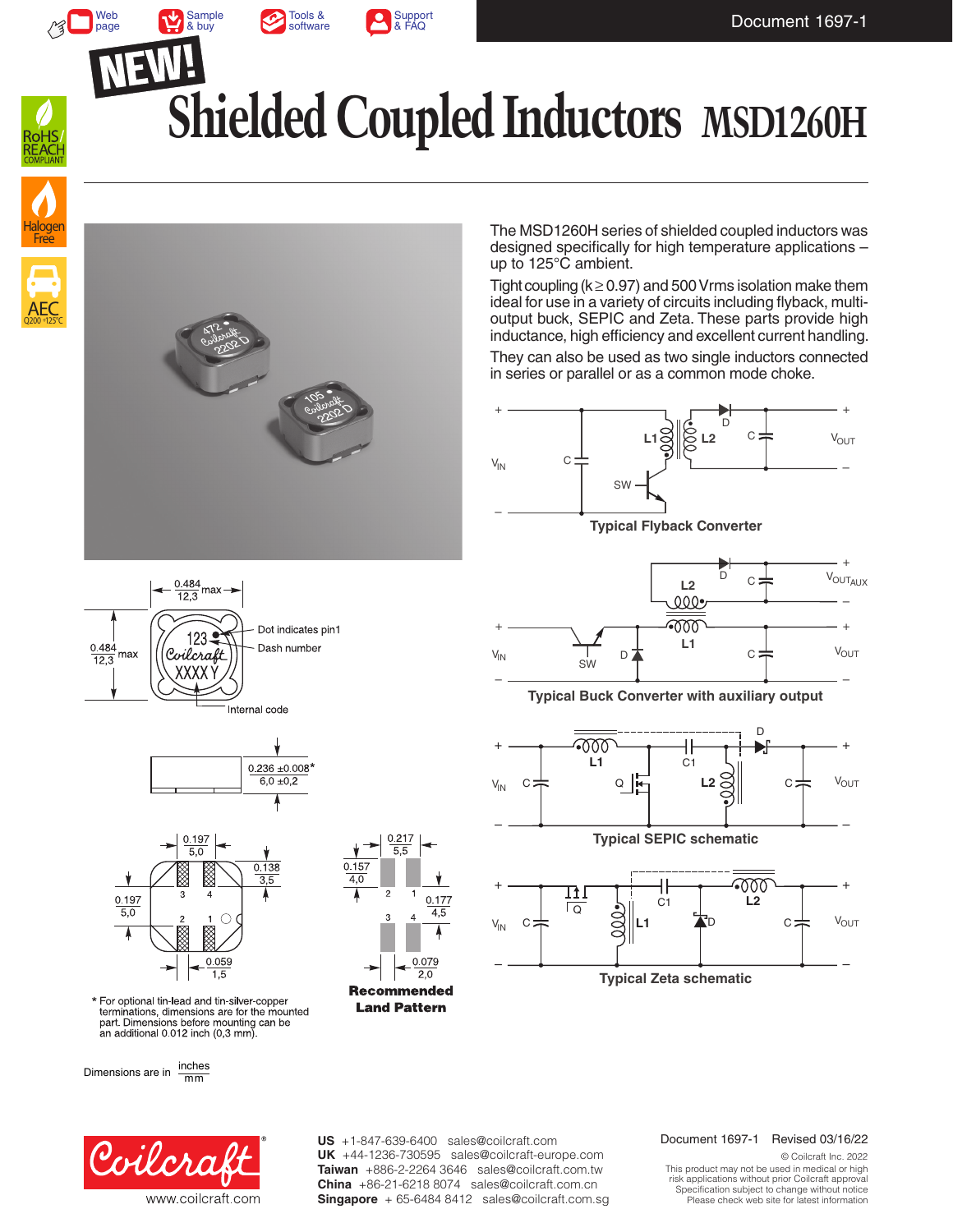

[Support](https://www.coilcraft.com/en-us/faq/) & FAQ

[Sample](https://www.coilcraft.com/en-us/products/power/coupled-inductors/1-1-shielded-coupled/msd_h/msd1260h/) & buy



 $\sqrt{3}$ 

Web [page](https://www.coilcraft.com/en-us/products/power/coupled-inductors/1-1-shielded-coupled/msd_h/msd1260h/)

# **Shielded Coupled Inductors MSD1260H**





The MSD1260H series of shielded coupled inductors was designed specifically for high temperature applications – up to 125°C ambient.

Tight coupling ( $k \ge 0.97$ ) and 500 Vrms isolation make them ideal for use in a variety of circuits including flyback, multioutput buck, SEPIC and Zeta. These parts provide high inductance, high efficiency and excellent current handling.

They can also be used as two single inductors connected in series or parallel or as a common mode choke.











\* For optional tin-lead and tin-silver-copper terminations, dimensions are for the mounted part. Dimensions before mounting can be an additional 0.012 inch (0,3 mm)

Dimensions are in  $\frac{\text{inches}}{\text{mm}}$ 



+ D  $V_{\text{OUT_{AUX}}}$  $\mathcal{C}$ **L2**  $\mathfrak{A} \mathfrak{C}$ –  $+$   $+$   $000$   $+$   $+$ **L1**  $C =$  $V_{\text{OUT}}$  $V_{IN}$  $D<sub>2</sub>$ SW – –

**Typical Buck Converter with auxiliary output**







**US** +1-847-639-6400 sales@coilcraft.com **UK** +44-1236-730595 sales@coilcraft-europe.com **Taiwan** +886-2-2264 3646 sales@coilcraft.com.tw **China** +86-21-6218 8074 sales@coilcraft.com.cn **Singapore** + 65-6484 8412 sales@coilcraft.com.sg

#### Document 1697-1 Revised 03/16/22

© Coilcraft Inc. 2022 This product may not be used in medical or high risk applications without prior Coilcraft approval. Specification subject to change without notice. Please check web site for latest information.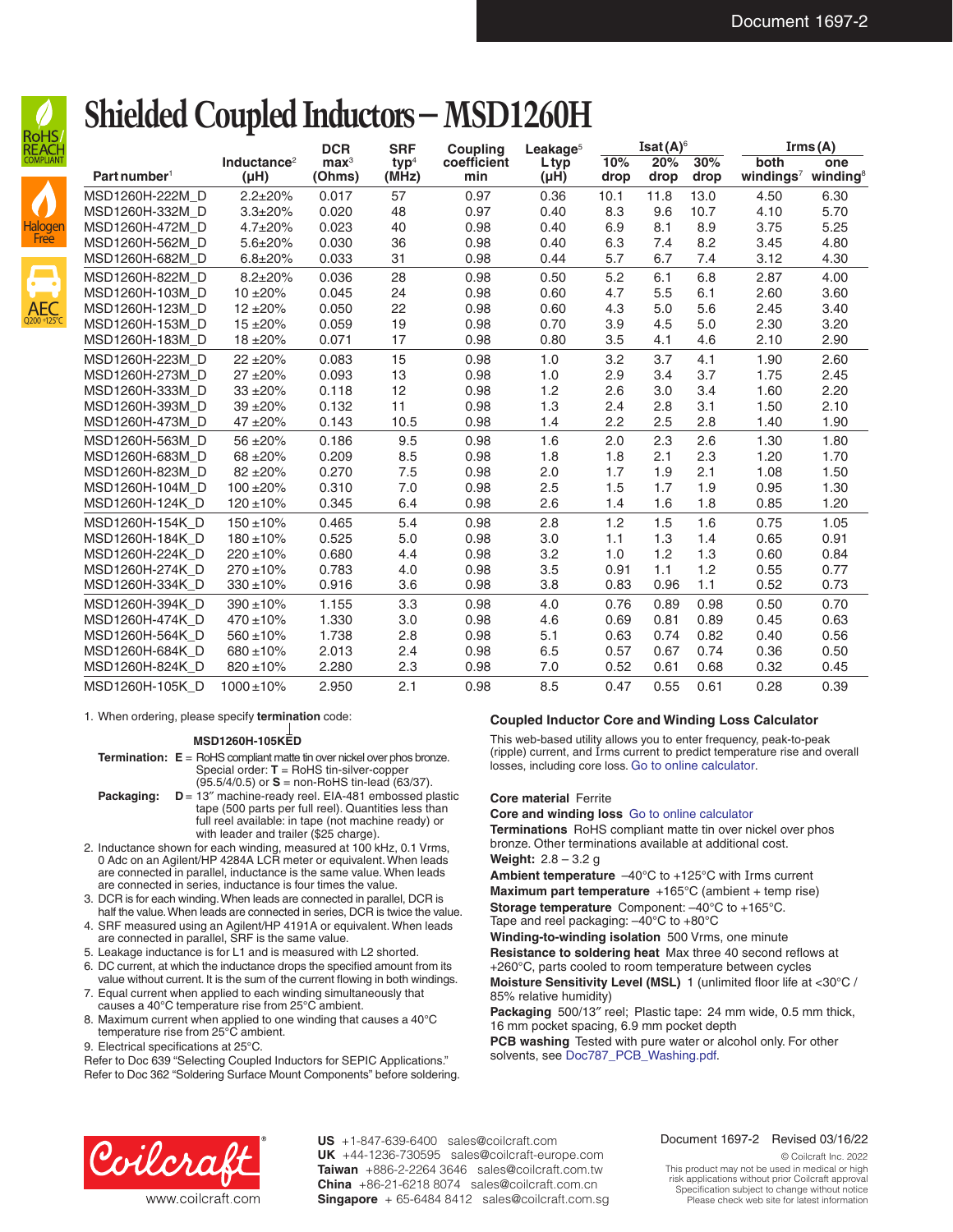

## AEC Halogen **Free**

Q200 +125°C

|                          |                                      | <b>DCR</b>                 | <b>SRF</b>      | <b>Coupling</b>    | Leakage <sup>5</sup> | Isat $(A)$ <sup>6</sup> |             |             | Irms(A)                       |                             |
|--------------------------|--------------------------------------|----------------------------|-----------------|--------------------|----------------------|-------------------------|-------------|-------------|-------------------------------|-----------------------------|
| Part number <sup>1</sup> | Inductance <sup>2</sup><br>$(\mu H)$ | $\mathbf{max}^3$<br>(Ohms) | $typ4$<br>(MHz) | coefficient<br>min | Ltyp<br>$(\mu H)$    | 10%<br>drop             | 20%<br>drop | 30%<br>drop | both<br>windings <sup>7</sup> | one<br>winding $\mathbf{g}$ |
| MSD1260H-222M D          | $2.2 \pm 20\%$                       | 0.017                      | 57              | 0.97               | 0.36                 | 10.1                    | 11.8        | 13.0        | 4.50                          | 6.30                        |
| MSD1260H-332M D          | $3.3 \pm 20\%$                       | 0.020                      | 48              | 0.97               | 0.40                 | 8.3                     | 9.6         | 10.7        | 4.10                          | 5.70                        |
| MSD1260H-472M D          | $4.7 \pm 20\%$                       | 0.023                      | 40              | 0.98               | 0.40                 | 6.9                     | 8.1         | 8.9         | 3.75                          | 5.25                        |
| MSD1260H-562M D          | $5.6 \pm 20\%$                       | 0.030                      | 36              | 0.98               | 0.40                 | 6.3                     | 7.4         | 8.2         | 3.45                          | 4.80                        |
| MSD1260H-682M D          | $6.8 \pm 20\%$                       | 0.033                      | 31              | 0.98               | 0.44                 | 5.7                     | 6.7         | 7.4         | 3.12                          | 4.30                        |
| MSD1260H-822M D          | $8.2 \pm 20\%$                       | 0.036                      | 28              | 0.98               | 0.50                 | 5.2                     | 6.1         | 6.8         | 2.87                          | 4.00                        |
| MSD1260H-103M D          | $10 + 20%$                           | 0.045                      | 24              | 0.98               | 0.60                 | 4.7                     | 5.5         | 6.1         | 2.60                          | 3.60                        |
| MSD1260H-123M D          | $12 + 20%$                           | 0.050                      | 22              | 0.98               | 0.60                 | 4.3                     | 5.0         | 5.6         | 2.45                          | 3.40                        |
| MSD1260H-153M D          | $15 + 20%$                           | 0.059                      | 19              | 0.98               | 0.70                 | 3.9                     | 4.5         | 5.0         | 2.30                          | 3.20                        |
| MSD1260H-183M_D          | 18 ±20%                              | 0.071                      | 17              | 0.98               | 0.80                 | 3.5                     | 4.1         | 4.6         | 2.10                          | 2.90                        |
| MSD1260H-223M D          | $22 + 20%$                           | 0.083                      | 15              | 0.98               | 1.0                  | 3.2                     | 3.7         | 4.1         | 1.90                          | 2.60                        |
| MSD1260H-273M D          | $27 + 20%$                           | 0.093                      | 13              | 0.98               | 1.0                  | 2.9                     | 3.4         | 3.7         | 1.75                          | 2.45                        |
| MSD1260H-333M D          | 33 ±20%                              | 0.118                      | 12              | 0.98               | 1.2                  | 2.6                     | 3.0         | 3.4         | 1.60                          | 2.20                        |
| MSD1260H-393M D          | 39 ±20%                              | 0.132                      | 11              | 0.98               | 1.3                  | 2.4                     | 2.8         | 3.1         | 1.50                          | 2.10                        |
| MSD1260H-473M D          | 47 ±20%                              | 0.143                      | 10.5            | 0.98               | 1.4                  | 2.2                     | 2.5         | 2.8         | 1.40                          | 1.90                        |
| MSD1260H-563M D          | 56 ±20%                              | 0.186                      | 9.5             | 0.98               | 1.6                  | 2.0                     | 2.3         | 2.6         | 1.30                          | 1.80                        |
| MSD1260H-683M D          | 68 ±20%                              | 0.209                      | 8.5             | 0.98               | 1.8                  | 1.8                     | 2.1         | 2.3         | 1.20                          | 1.70                        |
| MSD1260H-823M D          | 82 ±20%                              | 0.270                      | 7.5             | 0.98               | 2.0                  | 1.7                     | 1.9         | 2.1         | 1.08                          | 1.50                        |
| MSD1260H-104M D          | $100 + 20%$                          | 0.310                      | 7.0             | 0.98               | 2.5                  | 1.5                     | 1.7         | 1.9         | 0.95                          | 1.30                        |
| MSD1260H-124K_D          | $120 \pm 10\%$                       | 0.345                      | 6.4             | 0.98               | 2.6                  | 1.4                     | 1.6         | 1.8         | 0.85                          | 1.20                        |
| MSD1260H-154K D          | $150 \pm 10\%$                       | 0.465                      | 5.4             | 0.98               | 2.8                  | 1.2                     | 1.5         | 1.6         | 0.75                          | 1.05                        |
| MSD1260H-184K D          | $180 + 10%$                          | 0.525                      | 5.0             | 0.98               | 3.0                  | 1.1                     | 1.3         | 1.4         | 0.65                          | 0.91                        |
| MSD1260H-224K D          | $220 \pm 10\%$                       | 0.680                      | 4.4             | 0.98               | 3.2                  | 1.0                     | 1.2         | 1.3         | 0.60                          | 0.84                        |
| MSD1260H-274K D          | $270 \pm 10\%$                       | 0.783                      | 4.0             | 0.98               | 3.5                  | 0.91                    | 1.1         | 1.2         | 0.55                          | 0.77                        |
| MSD1260H-334K D          | $330 \pm 10\%$                       | 0.916                      | 3.6             | 0.98               | 3.8                  | 0.83                    | 0.96        | 1.1         | 0.52                          | 0.73                        |
| MSD1260H-394K D          | $390 \pm 10\%$                       | 1.155                      | 3.3             | 0.98               | 4.0                  | 0.76                    | 0.89        | 0.98        | 0.50                          | 0.70                        |
| MSD1260H-474K D          | $470 \pm 10\%$                       | 1.330                      | 3.0             | 0.98               | 4.6                  | 0.69                    | 0.81        | 0.89        | 0.45                          | 0.63                        |
| MSD1260H-564K D          | $560 \pm 10\%$                       | 1.738                      | 2.8             | 0.98               | 5.1                  | 0.63                    | 0.74        | 0.82        | 0.40                          | 0.56                        |
| MSD1260H-684K D          | 680 ±10%                             | 2.013                      | 2.4             | 0.98               | 6.5                  | 0.57                    | 0.67        | 0.74        | 0.36                          | 0.50                        |
| MSD1260H-824K D          | $820 \pm 10\%$                       | 2.280                      | 2.3             | 0.98               | 7.0                  | 0.52                    | 0.61        | 0.68        | 0.32                          | 0.45                        |
| MSD1260H-105K D          | $1000 \pm 10\%$                      | 2.950                      | 2.1             | 0.98               | 8.5                  | 0.47                    | 0.55        | 0.61        | 0.28                          | 0.39                        |

#### 1. When ordering, please specify **termination** code:

#### **MSD1260H-105KED**

**Termination:**  $E = \text{RoHS}$  compliant matte tin over nickel over phos bronze. Special order: **T** = RoHS tin-silver-copper (95.5/4/0.5) or **S** = non-RoHS tin-lead (63/37).

**Shielded Coupled Inductors – MSD1260H**

- **Packaging:**  $D = 13''$  machine-ready reel. EIA-481 embossed plastic tape (500 parts per full reel). Quantities less than full reel available: in tape (not machine ready) or with leader and trailer (\$25 charge).
- 2. Inductance shown for each winding, measured at 100 kHz, 0.1 Vrms, 0 Adc on an Agilent/HP 4284A LCR meter or equivalent. When leads are connected in parallel, inductance is the same value. When leads are connected in series, inductance is four times the value.
- 3. DCR is for each winding. When leads are connected in parallel, DCR is half the value. When leads are connected in series, DCR is twice the value.
- 4. SRF measured using an Agilent/HP 4191A or equivalent. When leads are connected in parallel, SRF is the same value.
- 5. Leakage inductance is for L1 and is measured with L2 shorted.
- 6. DC current, at which the inductance drops the specified amount from its value without current. It is the sum of the current flowing in both windings.
- 7. Equal current when applied to each winding simultaneously that causes a 40°C temperature rise from 25°C ambient.
- 8. Maximum current when applied to one winding that causes a 40°C temperature rise from 25°C ambient.

9. Electrical specifications at 25°C.

Refer to Doc 639 "Selecting Coupled Inductors for SEPIC Applications." Refer to Doc 362 "Soldering Surface Mount Components" before soldering.

#### **Coupled Inductor Core and Winding Loss Calculator**

This web-based utility allows you to enter frequency, peak-to-peak (ripple) current, and Irms current to predict temperature rise and overall losses, including core loss. [Go to online calculator](http://www.coilcraft.com/apps/loss_coupled/loss_1.cfm?family=msd1260t).

#### **Core material** Ferrite

#### **Core and winding loss** [Go to online calculator](https://www.coilcraft.com/en-us/tools/power-inductor-finder/#/search)

**Terminations** RoHS compliant matte tin over nickel over phos bronze. Other terminations available at additional cost. **Weight:** 2.8 – 3.2 g

**Ambient temperature** –40°C to +125°C with Irms current **Maximum part temperature** +165°C (ambient + temp rise) **Storage temperature** Component: –40°C to +165°C.

Tape and reel packaging: –40°C to +80°C

**Winding-to-winding isolation** 500 Vrms, one minute **Resistance to soldering heat** Max three 40 second reflows at [+260°C, parts cooled to room temperature between cycles](https://www.coilcraft.com/getmedia/6bec9a9c-a1cc-47ae-b47f-9e240260f4d8/doc787_pcb_washing.pdf) **Moisture Sensitivity Level (MSL)** 1 (unlimited floor life at <30°C / 85% relative humidity)

**Packaging** 500/13″ reel; Plastic tape: 24 mm wide, 0.5 mm thick, 16 mm pocket spacing, 6.9 mm pocket depth

**PCB washing** Tested with pure water or alcohol only. For other solvents, see [Doc787\\_PCB\\_Washing.pdf](https://www.coilcraft.com/getmedia/6bec9a9c-a1cc-47ae-b47f-9e240260f4d8/doc787_pcb_washing.pdf).



**US** +1-847-639-6400 sales@coilcraft.com **UK** +44-1236-730595 sales@coilcraft-europe.com **Taiwan** +886-2-2264 3646 sales@coilcraft.com.tw **China** +86-21-6218 8074 sales@coilcraft.com.cn **Singapore** + 65-6484 8412 sales@coilcraft.com.sg

#### Document 1697-2 Revised 03/16/22

© Coilcraft Inc. 2022 This product may not be used in medical or high risk applications without prior Coilcraft approval. Specification subject to change without notice. Please check web site for latest information.